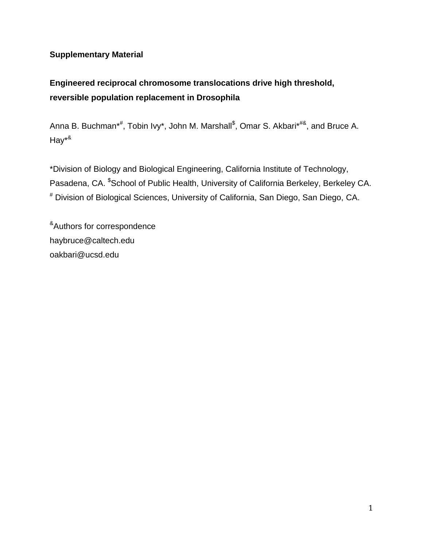## **Supplementary Material**

# **Engineered reciprocal chromosome translocations drive high threshold, reversible population replacement in Drosophila**

Anna B. Buchman\*<sup>#</sup>, Tobin Ivy\*, John M. Marshall<sup>\$</sup>, Omar S. Akbari\*<sup>#&</sup>, and Bruce A. Hay\*&

\*Division of Biology and Biological Engineering, California Institute of Technology, Pasadena, CA. \$School of Public Health, University of California Berkeley, Berkeley CA. # Division of Biological Sciences, University of California, San Diego, San Diego, CA.

&Authors for correspondence haybruce@caltech.edu oakbari@ucsd.edu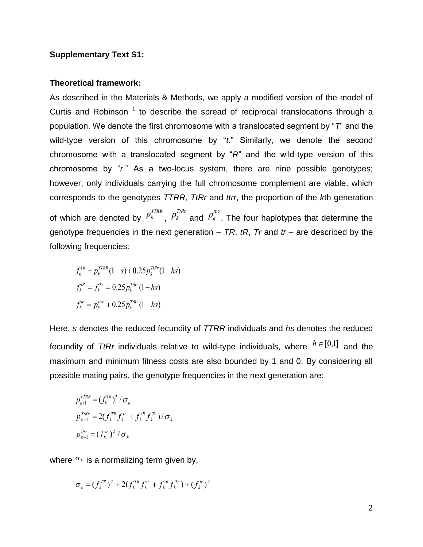### **Supplementary Text S1:**

#### **Theoretical framework:**

As described in the Materials & Methods, we apply a modified version of the model of Curtis and Robinson<sup>[1](https://paperpile.com/c/eV05ux/iU5u)</sup> to describe the spread of reciprocal translocations through a population. We denote the first chromosome with a translocated segment by "*T*" and the wild-type version of this chromosome by "*t*." Similarly, we denote the second chromosome with a translocated segment by "*R*" and the wild-type version of this chromosome by "*r*." As a two-locus system, there are nine possible genotypes; however, only individuals carrying the full chromosome complement are viable, which corresponds to the genotypes *TTRR*, *TtRr* and *ttrr*, the proportion of the *k*th generation of which are denoted by  $P_k^{TIRR}$ ,  $P_k^{TIRR}$  and  $P_k^{ttr}$ . The four haplotypes that determine the genotype frequencies in the next generation – *TR*, *tR*, *Tr* and *tr* – are described by the following frequencies:

 $f_k^{TR} = p_k^{TTRR} (1-s) + 0.25 p_k^{TIRr} (1-hs)$  $f_k^{tR} = f_k^{Tr} = 0.25 p_k^{TtRr} (1 - hs)$  $f_k^{tr} = p_k^{trr} + 0.25 p_k^{TtRr} (1 - hs)$ 

Here, *s* denotes the reduced fecundity of *TTRR* individuals and *hs* denotes the reduced fecundity of *TtRr* individuals relative to wild-type individuals, where  $h \in [0,1]$  and the maximum and minimum fitness costs are also bounded by 1 and 0. By considering all possible mating pairs, the genotype frequencies in the next generation are:

$$
p_{k+1}^{TTR} = (f_k^{TR})^2 / \sigma_k
$$
  
\n
$$
p_{k+1}^{TIR} = 2(f_k^{TR} f_k^{tr} + f_k^{tR} f_k^{Tr}) / \sigma_k
$$
  
\n
$$
p_{k+1}^{trr} = (f_k^{tr})^2 / \sigma_k
$$

where  $\sigma_k$  is a normalizing term given by,

$$
\sigma_k = (f_k^{TR})^2 + 2(f_k^{TR} f_k^{tr} + f_k^{tr} f_k^{Tr}) + (f_k^{tr})^2
$$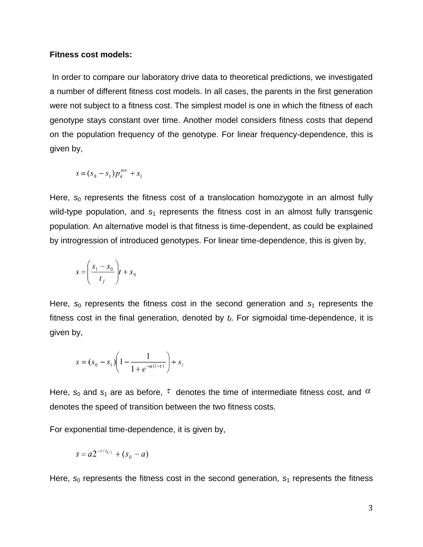#### **Fitness cost models:**

In order to compare our laboratory drive data to theoretical predictions, we investigated a number of different fitness cost models. In all cases, the parents in the first generation were not subject to a fitness cost. The simplest model is one in which the fitness of each genotype stays constant over time. Another model considers fitness costs that depend on the population frequency of the genotype. For linear frequency-dependence, this is given by,

$$
s = (s_0 - s_1) p_k^{trr} + s_1
$$

Here,  $s_0$  represents the fitness cost of a translocation homozygote in an almost fully wild-type population, and  $s_1$  represents the fitness cost in an almost fully transgenic population. An alternative model is that fitness is time-dependent, as could be explained by introgression of introduced genotypes. For linear time-dependence, this is given by,

$$
s = \left(\frac{s_1 - s_0}{t_f}\right)t + s_0
$$

Here,  $s_0$  represents the fitness cost in the second generation and  $s_1$  represents the fitness cost in the final generation, denoted by *tf*. For sigmoidal time-dependence, it is given by,

$$
s = (s_0 - s_1) \left( 1 - \frac{1}{1 + e^{-\alpha(1 - \tau)}} \right) + s_1
$$

Here,  $s_0$  and  $s_1$  are as before,  $\tau$  denotes the time of intermediate fitness cost, and  $\alpha$ denotes the speed of transition between the two fitness costs.

For exponential time-dependence, it is given by,

$$
s = a2^{-t/t_{1/2}} + (s_0 - a)
$$

Here,  $s_0$  represents the fitness cost in the second generation,  $s_1$  represents the fitness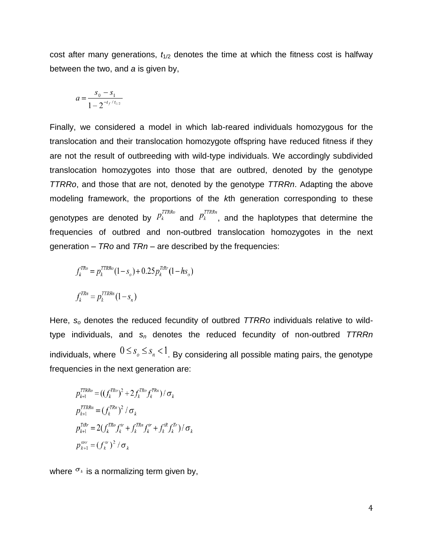cost after many generations,  $t_{1/2}$  denotes the time at which the fitness cost is halfway between the two, and *a* is given by,

$$
a = \frac{s_0 - s_1}{1 - 2^{-t_f / t_{1/2}}}
$$

Finally, we considered a model in which lab-reared individuals homozygous for the translocation and their translocation homozygote offspring have reduced fitness if they are not the result of outbreeding with wild-type individuals. We accordingly subdivided translocation homozygotes into those that are outbred, denoted by the genotype *TTRRo*, and those that are not, denoted by the genotype *TTRRn*. Adapting the above modeling framework, the proportions of the *k*th generation corresponding to these genotypes are denoted by  $P_k^{ITRRO}$  and  $P_k^{ITRRA}$ , and the haplotypes that determine the frequencies of outbred and non-outbred translocation homozygotes in the next generation – *TRo* and *TRn* – are described by the frequencies:

$$
f_k^{TRo} = p_k^{TTRRo} (1 - s_o) + 0.25 p_k^{TIRr} (1 - hs_o)
$$
  

$$
f_k^{TRn} = p_k^{TTRRn} (1 - s_n)
$$

Here, *s<sup>o</sup>* denotes the reduced fecundity of outbred *TTRRo* individuals relative to wildtype individuals, and *s<sup>n</sup>* denotes the reduced fecundity of non-outbred *TTRRn*  individuals, where  $0 \le s_o \le s_n < 1$ . By considering all possible mating pairs, the genotype frequencies in the next generation are:

$$
p_{k+1}^{TTRRo} = ((f_k^{TRo})^2 + 2f_k^{TRo} f_k^{TRn}) / \sigma_k
$$
  
\n
$$
p_{k+1}^{TTRRn} = (f_k^{TRn})^2 / \sigma_k
$$
  
\n
$$
p_{k+1}^{TIRr} = 2(f_k^{TRo} f_k^{tr} + f_k^{TRn} f_k^{tr} + f_k^{tR} f_k^{Tr}) / \sigma_k
$$
  
\n
$$
p_{k+1}^{trr} = (f_k^{tr})^2 / \sigma_k
$$

where  $\sigma_k$  is a normalizing term given by,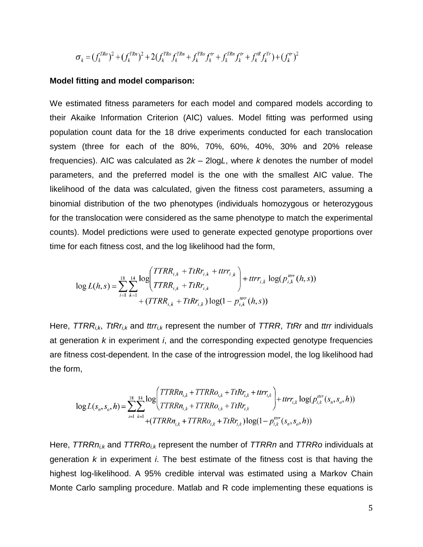$$
\sigma_k = (f_k^{TRo})^2 + (f_k^{TRn})^2 + 2(f_k^{TRo} f_k^{TRn} + f_k^{TRo} f_k^{tr} + f_k^{TRn} f_k^{tr} + f_k^{tr} f_k^{Tr}) + (f_k^{tr})^2
$$

#### **Model fitting and model comparison:**

We estimated fitness parameters for each model and compared models according to their Akaike Information Criterion (AIC) values. Model fitting was performed using population count data for the 18 drive experiments conducted for each translocation system (three for each of the 80%, 70%, 60%, 40%, 30% and 20% release frequencies). AIC was calculated as 2*k* – 2log*L*, where *k* denotes the number of model parameters, and the preferred model is the one with the smallest AIC value. The likelihood of the data was calculated, given the fitness cost parameters, assuming a binomial distribution of the two phenotypes (individuals homozygous or heterozygous for the translocation were considered as the same phenotype to match the experimental counts). Model predictions were used to generate expected genotype proportions over time for each fitness cost, and the log likelihood had the form,

$$
\log L(h, s) = \sum_{i=1}^{18} \sum_{k=1}^{14} \frac{\log \left( TTRR_{i,k} + TtRr_{i,k} + ttrr_{i,k}}{TTRR_{i,k} + TtRr_{i,k}} \right) + ttrr_{i,k} \log(p_{i,k}^{urr}(h, s)) + (TTRR_{i,k} + TtRr_{i,k}) \log(1 - p_{i,k}^{urr}(h, s))
$$

Here, *TTRRi,k*, *TtRri,k* and *ttrri,k* represent the number of *TTRR*, *TtRr* and *ttrr* individuals at generation *k* in experiment *i*, and the corresponding expected genotype frequencies are fitness cost-dependent. In the case of the introgression model, the log likelihood had the form,

$$
\log L(s_n, s_o, h) = \sum_{i=1}^{18} \sum_{k=1}^{14} \frac{\log \left( TTRRn_{i,k} + TTRRo_{i,k} + TIRr_{i,k} + ttr_{i,k} \right)}{TTRRn_{i,k} + TTRRo_{i,k} + TIRr_{i,k}} + ttr_{i,k} \log (p_{i,k}^{urr}(s_n, s_o, h)) + ttr_{i,k} \log (p_{i,k}^{urr}(s_n, s_o, h))
$$

Here, *TTRRni,k* and *TTRRoi,k* represent the number of *TTRRn* and *TTRRo* individuals at generation *k* in experiment *i*. The best estimate of the fitness cost is that having the highest log-likelihood. A 95% credible interval was estimated using a Markov Chain Monte Carlo sampling procedure. Matlab and R code implementing these equations is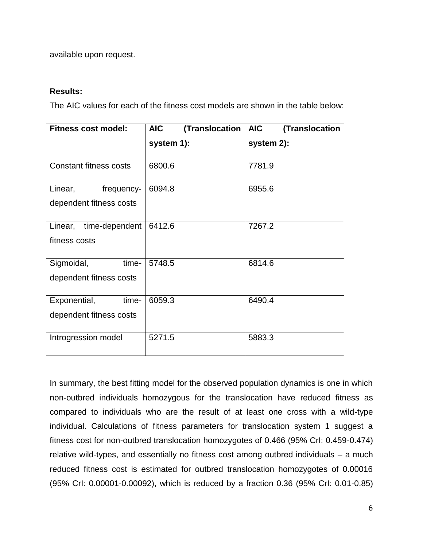available upon request.

## **Results:**

The AIC values for each of the fitness cost models are shown in the table below:

| Fitness cost model:                              | <b>AIC</b><br>(Translocation | <b>AIC</b><br>(Translocation |
|--------------------------------------------------|------------------------------|------------------------------|
|                                                  | system 1):                   | system 2):                   |
| <b>Constant fitness costs</b>                    | 6800.6                       | 7781.9                       |
| Linear,<br>frequency-<br>dependent fitness costs | 6094.8                       | 6955.6                       |
| Linear,<br>time-dependent<br>fitness costs       | 6412.6                       | 7267.2                       |
| Sigmoidal,<br>time-<br>dependent fitness costs   | 5748.5                       | 6814.6                       |
| Exponential,<br>time-<br>dependent fitness costs | 6059.3                       | 6490.4                       |
| Introgression model                              | 5271.5                       | 5883.3                       |

In summary, the best fitting model for the observed population dynamics is one in which non-outbred individuals homozygous for the translocation have reduced fitness as compared to individuals who are the result of at least one cross with a wild-type individual. Calculations of fitness parameters for translocation system 1 suggest a fitness cost for non-outbred translocation homozygotes of 0.466 (95% CrI: 0.459-0.474) relative wild-types, and essentially no fitness cost among outbred individuals – a much reduced fitness cost is estimated for outbred translocation homozygotes of 0.00016 (95% CrI: 0.00001-0.00092), which is reduced by a fraction 0.36 (95% CrI: 0.01-0.85)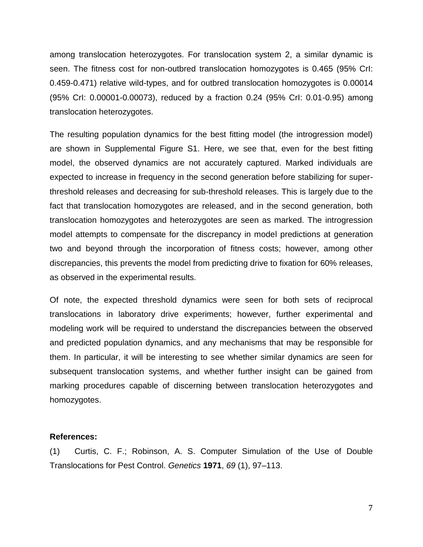among translocation heterozygotes. For translocation system 2, a similar dynamic is seen. The fitness cost for non-outbred translocation homozygotes is 0.465 (95% CrI: 0.459-0.471) relative wild-types, and for outbred translocation homozygotes is 0.00014 (95% CrI: 0.00001-0.00073), reduced by a fraction 0.24 (95% CrI: 0.01-0.95) among translocation heterozygotes.

The resulting population dynamics for the best fitting model (the introgression model) are shown in Supplemental Figure S1. Here, we see that, even for the best fitting model, the observed dynamics are not accurately captured. Marked individuals are expected to increase in frequency in the second generation before stabilizing for superthreshold releases and decreasing for sub-threshold releases. This is largely due to the fact that translocation homozygotes are released, and in the second generation, both translocation homozygotes and heterozygotes are seen as marked. The introgression model attempts to compensate for the discrepancy in model predictions at generation two and beyond through the incorporation of fitness costs; however, among other discrepancies, this prevents the model from predicting drive to fixation for 60% releases, as observed in the experimental results.

Of note, the expected threshold dynamics were seen for both sets of reciprocal translocations in laboratory drive experiments; however, further experimental and modeling work will be required to understand the discrepancies between the observed and predicted population dynamics, and any mechanisms that may be responsible for them. In particular, it will be interesting to see whether similar dynamics are seen for subsequent translocation systems, and whether further insight can be gained from marking procedures capable of discerning between translocation heterozygotes and homozygotes.

#### **References:**

(1) [Curtis, C. F.; Robinson, A. S. Computer Simulation of the Use of Double](http://paperpile.com/b/eV05ux/iU5u)  [Translocations for Pest Control.](http://paperpile.com/b/eV05ux/iU5u) *[Genetics](http://paperpile.com/b/eV05ux/iU5u)* **[1971](http://paperpile.com/b/eV05ux/iU5u)**[,](http://paperpile.com/b/eV05ux/iU5u) *[69](http://paperpile.com/b/eV05ux/iU5u)* [\(1\), 97–113.](http://paperpile.com/b/eV05ux/iU5u)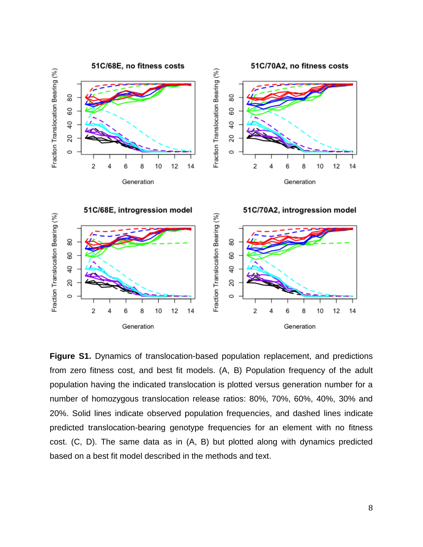

**Figure S1.** Dynamics of translocation-based population replacement, and predictions from zero fitness cost, and best fit models. (A, B) Population frequency of the adult population having the indicated translocation is plotted versus generation number for a number of homozygous translocation release ratios: 80%, 70%, 60%, 40%, 30% and 20%. Solid lines indicate observed population frequencies, and dashed lines indicate predicted translocation-bearing genotype frequencies for an element with no fitness cost. (C, D). The same data as in (A, B) but plotted along with dynamics predicted based on a best fit model described in the methods and text.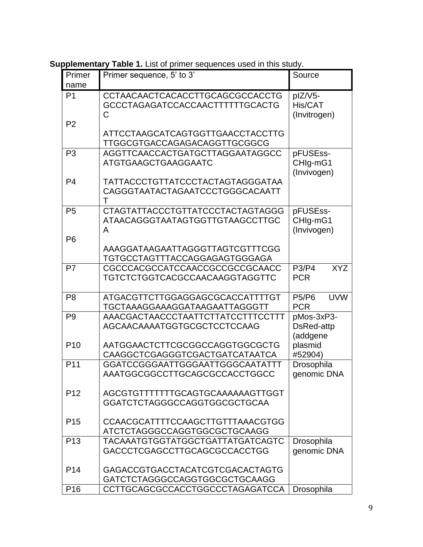**Supplementary Table 1.** List of primer sequences used in this study.

| Primer                           | Primer sequence, 5' to 3'                                                       | Source                                   |
|----------------------------------|---------------------------------------------------------------------------------|------------------------------------------|
| name                             |                                                                                 |                                          |
| P <sub>1</sub><br>P <sub>2</sub> | <b>CCTAACAACTCACACCTTGCAGCGCCACCTG</b><br>GCCCTAGAGATCCACCAACTTTTTTGCACTG<br>C  | plZ/V5-<br>His/CAT<br>(Invitrogen)       |
|                                  | ATTCCTAAGCATCAGTGGTTGAACCTACCTTG<br>TTGGCGTGACCAGAGACAGGTTGCGGCG                |                                          |
| P <sub>3</sub>                   | AGGTTCAACCACTGATGCTTAGGAATAGGCC<br><b>ATGTGAAGCTGAAGGAATC</b>                   | pFUSEss-<br>CHIg-mG1<br>(Invivogen)      |
| P <sub>4</sub>                   | TATTACCCTGTTATCCCTACTAGTAGGGATAA<br>CAGGGTAATACTAGAATCCCTGGGCACAATT<br>т        |                                          |
| P <sub>5</sub>                   | <b>CTAGTATTACCCTGTTATCCCTACTAGTAGGG</b><br>ATAACAGGGTAATAGTGGTTGTAAGCCTTGC<br>A | pFUSEss-<br>CHIg-mG1<br>(Invivogen)      |
| P <sub>6</sub>                   | AAAGGATAAGAATTAGGGTTAGTCGTTTCGG<br>TGTGCCTAGTTTACCAGGAGAGTGGGAGA                |                                          |
| P7                               | CGCCCACGCCATCCAACCGCCGCCGCAACC<br>TGTCTCTGGTCACGCCAACAAGGTAGGTTC                | <b>XYZ</b><br>P3/P4<br><b>PCR</b>        |
| P <sub>8</sub>                   | ATGACGTTCTTGGAGGAGCGCACCATTTTGT<br>TGCTAAAGGAAAGGATAAGAATTAGGGTT                | <b>UVW</b><br><b>P5/P6</b><br><b>PCR</b> |
| P <sub>9</sub>                   | AAACGACTAACCCTAATTCTTATCCTTTCCTTT<br>AGCAACAAAATGGTGCGCTCCTCCAAG                | pMos-3xP3-<br>DsRed-attp<br>(addgene     |
| P <sub>10</sub>                  | AATGGAACTCTTCGCGGCCAGGTGGCGCTG<br>CAAGGCTCGAGGGTCGACTGATCATAATCA                | plasmid<br>#52904)                       |
| P <sub>11</sub>                  | GGATCCGGGAATTGGGAATTGGGCAATATTT<br>AAATGGCGGCCTTGCAGCGCCACCTGGCC                | Drosophila<br>genomic DNA                |
| P <sub>12</sub>                  | AGCGTGTTTTTTTGCAGTGCAAAAAAGTTGGT<br>GGATCTCTAGGGCCAGGTGGCGCTGCAA                |                                          |
| P <sub>15</sub>                  | CCAACGCATTTTCCAAGCTTGTTTAAACGTGG<br>ATCTCTAGGGCCAGGTGGCGCTGCAAGG                |                                          |
| P <sub>13</sub>                  | <b>TACAAATGTGGTATGGCTGATTATGATCAGTC</b><br>GACCCTCGAGCCTTGCAGCGCCACCTGG         | Drosophila<br>genomic DNA                |
| P <sub>14</sub>                  | GAGACCGTGACCTACATCGTCGACACTAGTG<br>GATCTCTAGGGCCAGGTGGCGCTGCAAGG                |                                          |
| P <sub>16</sub>                  | CCTTGCAGCGCCACCTGGCCCTAGAGATCCA                                                 | Drosophila                               |